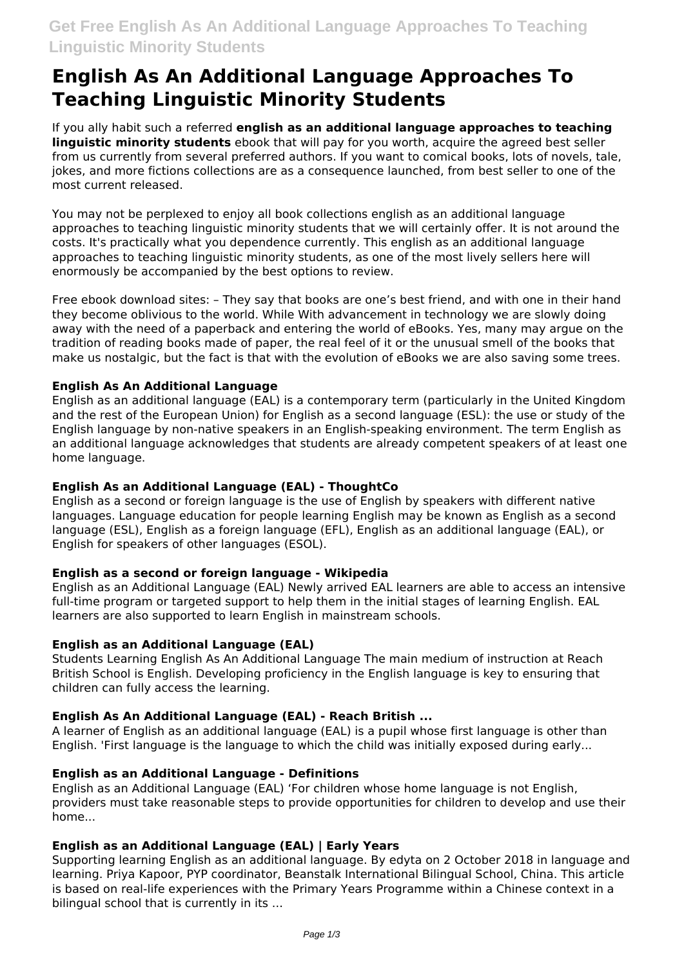# **English As An Additional Language Approaches To Teaching Linguistic Minority Students**

If you ally habit such a referred **english as an additional language approaches to teaching linguistic minority students** ebook that will pay for you worth, acquire the agreed best seller from us currently from several preferred authors. If you want to comical books, lots of novels, tale, jokes, and more fictions collections are as a consequence launched, from best seller to one of the most current released.

You may not be perplexed to enjoy all book collections english as an additional language approaches to teaching linguistic minority students that we will certainly offer. It is not around the costs. It's practically what you dependence currently. This english as an additional language approaches to teaching linguistic minority students, as one of the most lively sellers here will enormously be accompanied by the best options to review.

Free ebook download sites: – They say that books are one's best friend, and with one in their hand they become oblivious to the world. While With advancement in technology we are slowly doing away with the need of a paperback and entering the world of eBooks. Yes, many may argue on the tradition of reading books made of paper, the real feel of it or the unusual smell of the books that make us nostalgic, but the fact is that with the evolution of eBooks we are also saving some trees.

## **English As An Additional Language**

English as an additional language (EAL) is a contemporary term (particularly in the United Kingdom and the rest of the European Union) for English as a second language (ESL): the use or study of the English language by non-native speakers in an English-speaking environment. The term English as an additional language acknowledges that students are already competent speakers of at least one home language.

#### **English As an Additional Language (EAL) - ThoughtCo**

English as a second or foreign language is the use of English by speakers with different native languages. Language education for people learning English may be known as English as a second language (ESL), English as a foreign language (EFL), English as an additional language (EAL), or English for speakers of other languages (ESOL).

#### **English as a second or foreign language - Wikipedia**

English as an Additional Language (EAL) Newly arrived EAL learners are able to access an intensive full-time program or targeted support to help them in the initial stages of learning English. EAL learners are also supported to learn English in mainstream schools.

#### **English as an Additional Language (EAL)**

Students Learning English As An Additional Language The main medium of instruction at Reach British School is English. Developing proficiency in the English language is key to ensuring that children can fully access the learning.

#### **English As An Additional Language (EAL) - Reach British ...**

A learner of English as an additional language (EAL) is a pupil whose first language is other than English. 'First language is the language to which the child was initially exposed during early...

#### **English as an Additional Language - Definitions**

English as an Additional Language (EAL) 'For children whose home language is not English, providers must take reasonable steps to provide opportunities for children to develop and use their home...

#### **English as an Additional Language (EAL) | Early Years**

Supporting learning English as an additional language. By edyta on 2 October 2018 in language and learning. Priya Kapoor, PYP coordinator, Beanstalk International Bilingual School, China. This article is based on real-life experiences with the Primary Years Programme within a Chinese context in a bilingual school that is currently in its ...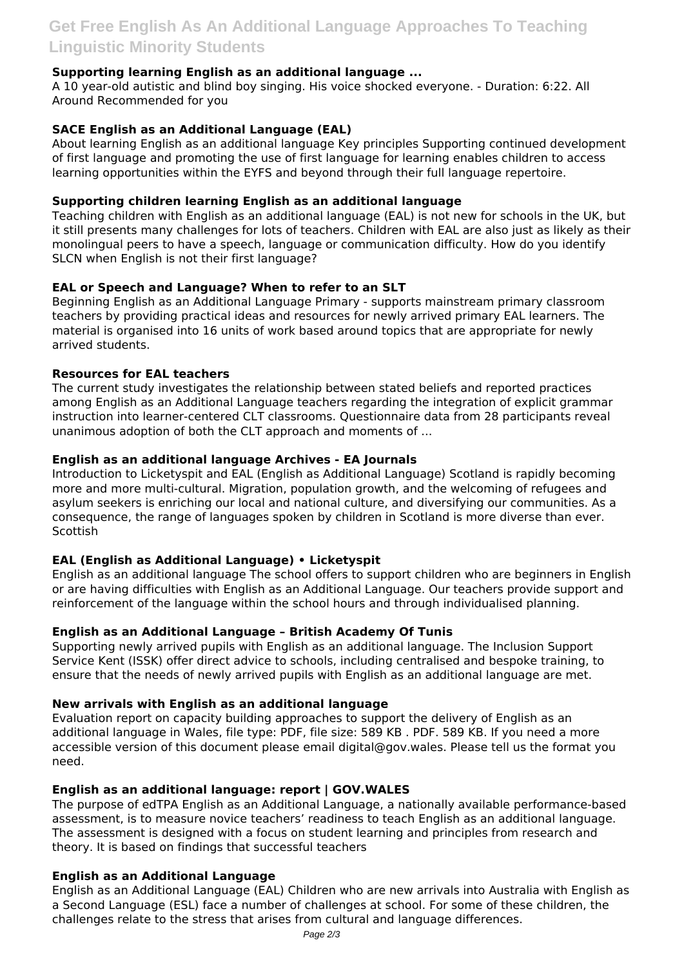# **Supporting learning English as an additional language ...**

A 10 year-old autistic and blind boy singing. His voice shocked everyone. - Duration: 6:22. All Around Recommended for you

## **SACE English as an Additional Language (EAL)**

About learning English as an additional language Key principles Supporting continued development of first language and promoting the use of first language for learning enables children to access learning opportunities within the EYFS and beyond through their full language repertoire.

#### **Supporting children learning English as an additional language**

Teaching children with English as an additional language (EAL) is not new for schools in the UK, but it still presents many challenges for lots of teachers. Children with EAL are also just as likely as their monolingual peers to have a speech, language or communication difficulty. How do you identify SLCN when English is not their first language?

## **EAL or Speech and Language? When to refer to an SLT**

Beginning English as an Additional Language Primary - supports mainstream primary classroom teachers by providing practical ideas and resources for newly arrived primary EAL learners. The material is organised into 16 units of work based around topics that are appropriate for newly arrived students.

#### **Resources for EAL teachers**

The current study investigates the relationship between stated beliefs and reported practices among English as an Additional Language teachers regarding the integration of explicit grammar instruction into learner-centered CLT classrooms. Questionnaire data from 28 participants reveal unanimous adoption of both the CLT approach and moments of ...

## **English as an additional language Archives - EA Journals**

Introduction to Licketyspit and EAL (English as Additional Language) Scotland is rapidly becoming more and more multi-cultural. Migration, population growth, and the welcoming of refugees and asylum seekers is enriching our local and national culture, and diversifying our communities. As a consequence, the range of languages spoken by children in Scotland is more diverse than ever. **Scottish** 

# **EAL (English as Additional Language) • Licketyspit**

English as an additional language The school offers to support children who are beginners in English or are having difficulties with English as an Additional Language. Our teachers provide support and reinforcement of the language within the school hours and through individualised planning.

#### **English as an Additional Language – British Academy Of Tunis**

Supporting newly arrived pupils with English as an additional language. The Inclusion Support Service Kent (ISSK) offer direct advice to schools, including centralised and bespoke training, to ensure that the needs of newly arrived pupils with English as an additional language are met.

#### **New arrivals with English as an additional language**

Evaluation report on capacity building approaches to support the delivery of English as an additional language in Wales, file type: PDF, file size: 589 KB . PDF. 589 KB. If you need a more accessible version of this document please email digital@gov.wales. Please tell us the format you need.

#### **English as an additional language: report | GOV.WALES**

The purpose of edTPA English as an Additional Language, a nationally available performance-based assessment, is to measure novice teachers' readiness to teach English as an additional language. The assessment is designed with a focus on student learning and principles from research and theory. It is based on findings that successful teachers

#### **English as an Additional Language**

English as an Additional Language (EAL) Children who are new arrivals into Australia with English as a Second Language (ESL) face a number of challenges at school. For some of these children, the challenges relate to the stress that arises from cultural and language differences.